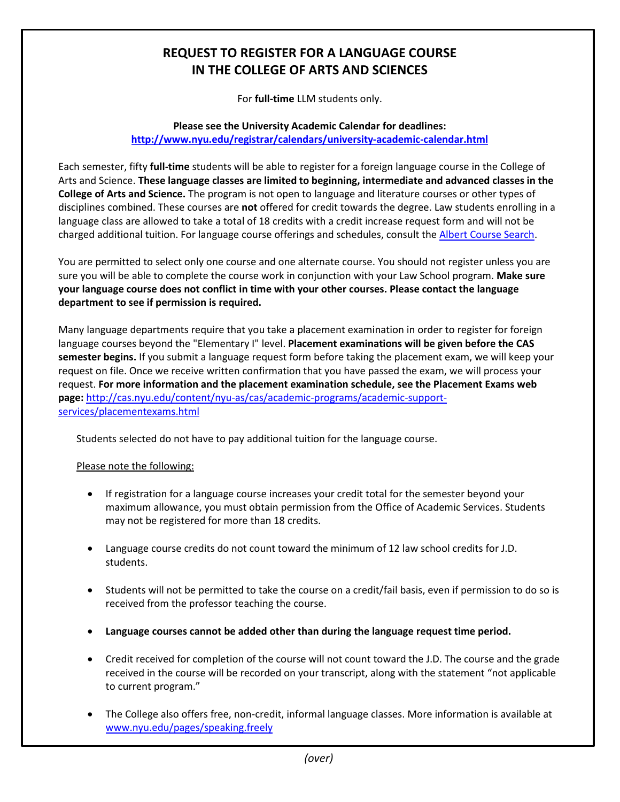## **REQUEST TO REGISTER FOR A LANGUAGE COURSE IN THE COLLEGE OF ARTS AND SCIENCES**

For **full-time** LLM students only.

## **Please see the University Academic Calendar for deadlines: <http://www.nyu.edu/registrar/calendars/university-academic-calendar.html>**

Each semester, fifty **full-time** students will be able to register for a foreign language course in the College of Arts and Science. **These language classes are limited to beginning, intermediate and advanced classes in the College of Arts and Science.** The program is not open to language and literature courses or other types of disciplines combined. These courses are **not** offered for credit towards the degree. Law students enrolling in a language class are allowed to take a total of 18 credits with a credit increase request form and will not be charged additional tuition. For language course offerings and schedules, consult the [Albert Course Search.](http://www.nyu.edu/students/student-information-and-resources/registration-records-and-graduation/registration.html)

You are permitted to select only one course and one alternate course. You should not register unless you are sure you will be able to complete the course work in conjunction with your Law School program. **Make sure your language course does not conflict in time with your other courses. Please contact the language department to see if permission is required.**

Many language departments require that you take a placement examination in order to register for foreign language courses beyond the "Elementary I" level. **Placement examinations will be given before the CAS semester begins.** If you submit a language request form before taking the placement exam, we will keep your request on file. Once we receive written confirmation that you have passed the exam, we will process your request. **For more information and the placement examination schedule, see the Placement Exams web page:** http://cas.nyu.edu/content/nyu-as/cas/academic-programs/academic-supportservices/placementexams.html

Students selected do not have to pay additional tuition for the language course.

## Please note the following:

- If registration for a language course increases your credit total for the semester beyond your maximum allowance, you must obtain permission from the Office of Academic Services. Students may not be registered for more than 18 credits.
- Language course credits do not count toward the minimum of 12 law school credits for J.D. students.
- Students will not be permitted to take the course on a credit/fail basis, even if permission to do so is received from the professor teaching the course.
- **Language courses cannot be added other than during the language request time period.**
- Credit received for completion of the course will not count toward the J.D. The course and the grade received in the course will be recorded on your transcript, along with the statement "not applicable to current program."
- The College also offers free, non-credit, informal language classes. More information is available at [www.nyu.edu/pages/speaking.freely](http://www.nyu.edu/pages/speaking.freely)